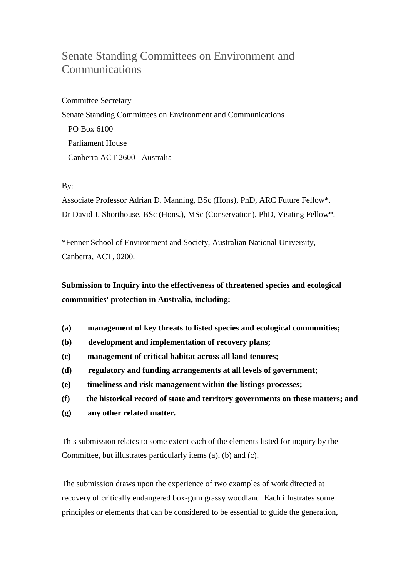## Senate Standing Committees on Environment and Communications

Committee Secretary Senate Standing Committees on Environment and Communications PO Box 6100 Parliament House Canberra ACT 2600 Australia

## By:

Associate Professor Adrian D. Manning, BSc (Hons), PhD, ARC Future Fellow\*. Dr David J. Shorthouse, BSc (Hons.), MSc (Conservation), PhD, Visiting Fellow\*.

\*Fenner School of Environment and Society, Australian National University, Canberra, ACT, 0200.

**Submission to Inquiry into the effectiveness of threatened species and ecological communities' protection in Australia, including:**

- **(a) management of key threats to listed species and ecological communities;**
- **(b) development and implementation of recovery plans;**
- **(c) management of critical habitat across all land tenures;**
- **(d) regulatory and funding arrangements at all levels of government;**
- **(e) timeliness and risk management within the listings processes;**
- **(f) the historical record of state and territory governments on these matters; and**
- **(g) any other related matter.**

This submission relates to some extent each of the elements listed for inquiry by the Committee, but illustrates particularly items (a), (b) and (c).

The submission draws upon the experience of two examples of work directed at recovery of critically endangered box-gum grassy woodland. Each illustrates some principles or elements that can be considered to be essential to guide the generation,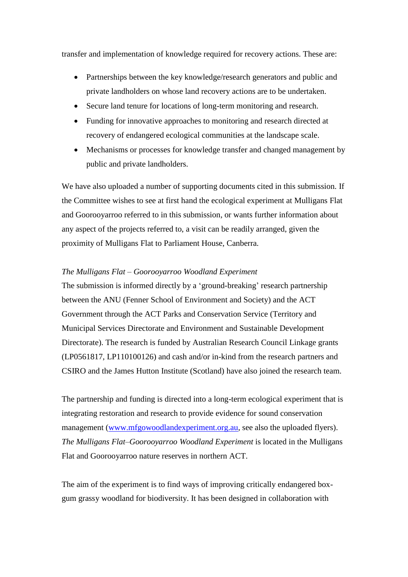transfer and implementation of knowledge required for recovery actions. These are:

- Partnerships between the key knowledge/research generators and public and private landholders on whose land recovery actions are to be undertaken.
- Secure land tenure for locations of long-term monitoring and research.
- Funding for innovative approaches to monitoring and research directed at recovery of endangered ecological communities at the landscape scale.
- Mechanisms or processes for knowledge transfer and changed management by public and private landholders.

We have also uploaded a number of supporting documents cited in this submission. If the Committee wishes to see at first hand the ecological experiment at Mulligans Flat and Goorooyarroo referred to in this submission, or wants further information about any aspect of the projects referred to, a visit can be readily arranged, given the proximity of Mulligans Flat to Parliament House, Canberra.

## *The Mulligans Flat – Goorooyarroo Woodland Experiment*

The submission is informed directly by a 'ground-breaking' research partnership between the ANU (Fenner School of Environment and Society) and the ACT Government through the ACT Parks and Conservation Service (Territory and Municipal Services Directorate and Environment and Sustainable Development Directorate). The research is funded by Australian Research Council Linkage grants (LP0561817, LP110100126) and cash and/or in-kind from the research partners and CSIRO and the James Hutton Institute (Scotland) have also joined the research team.

The partnership and funding is directed into a long-term ecological experiment that is integrating restoration and research to provide evidence for sound conservation management [\(www.mfgowoodlandexperiment.org.au,](http://www.mfgowoodlandexperiment.org.au/) see also the uploaded flyers). *The Mulligans Flat–Goorooyarroo Woodland Experiment* is located in the Mulligans Flat and Goorooyarroo nature reserves in northern ACT.

The aim of the experiment is to find ways of improving critically endangered boxgum grassy woodland for biodiversity. It has been designed in collaboration with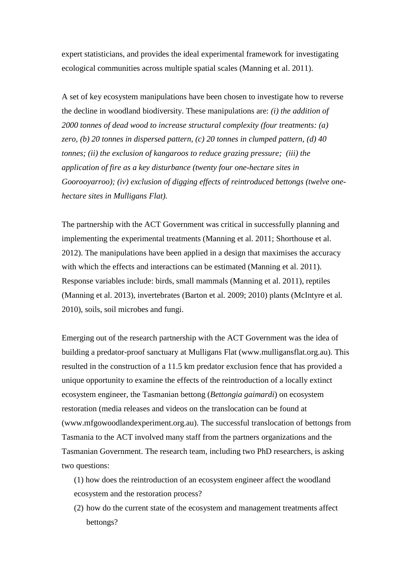expert statisticians, and provides the ideal experimental framework for investigating ecological communities across multiple spatial scales (Manning et al. 2011).

A set of key ecosystem manipulations have been chosen to investigate how to reverse the decline in woodland biodiversity. These manipulations are: *(i) the addition of 2000 tonnes of dead wood to increase structural complexity (four treatments: (a) zero, (b) 20 tonnes in dispersed pattern, (c) 20 tonnes in clumped pattern, (d) 40 tonnes; (ii) the exclusion of kangaroos to reduce grazing pressure; (iii) the application of fire as a key disturbance (twenty four one-hectare sites in Goorooyarroo); (iv) exclusion of digging effects of reintroduced bettongs (twelve onehectare sites in Mulligans Flat).* 

The partnership with the ACT Government was critical in successfully planning and implementing the experimental treatments (Manning et al. 2011; Shorthouse et al. 2012). The manipulations have been applied in a design that maximises the accuracy with which the effects and interactions can be estimated (Manning et al. 2011). Response variables include: birds, small mammals (Manning et al. 2011), reptiles (Manning et al. 2013), invertebrates (Barton et al. 2009; 2010) plants (McIntyre et al. 2010), soils, soil microbes and fungi.

Emerging out of the research partnership with the ACT Government was the idea of building a predator-proof sanctuary at Mulligans Flat (www.mulligansflat.org.au). This resulted in the construction of a 11.5 km predator exclusion fence that has provided a unique opportunity to examine the effects of the reintroduction of a locally extinct ecosystem engineer, the Tasmanian bettong (*Bettongia gaimardi*) on ecosystem restoration (media releases and videos on the translocation can be found at (www.mfgowoodlandexperiment.org.au). The successful translocation of bettongs from Tasmania to the ACT involved many staff from the partners organizations and the Tasmanian Government. The research team, including two PhD researchers, is asking two questions:

(1) how does the reintroduction of an ecosystem engineer affect the woodland ecosystem and the restoration process?

(2) how do the current state of the ecosystem and management treatments affect bettongs?